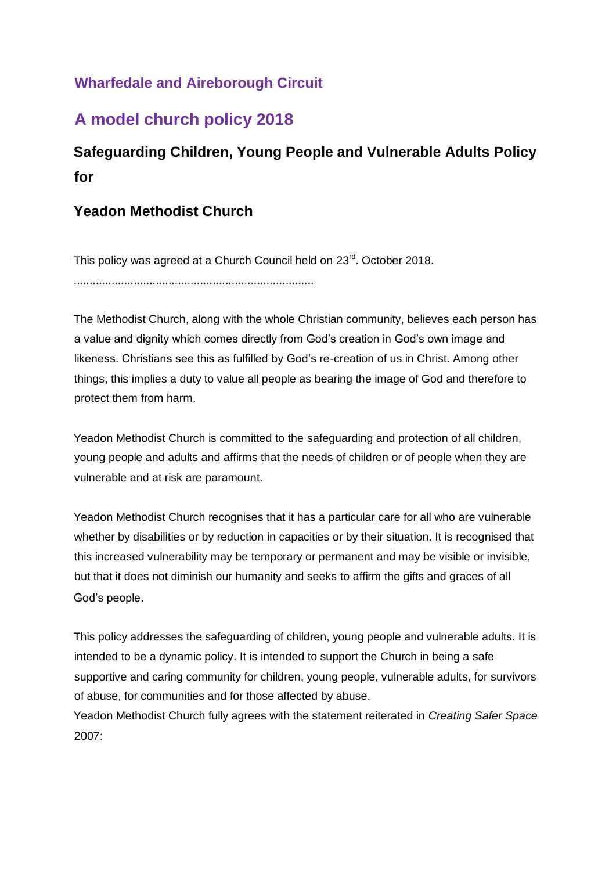## **Wharfedale and Aireborough Circuit**

## **A model church policy 2018**

# **Safeguarding Children, Young People and Vulnerable Adults Policy for**

### **Yeadon Methodist Church**

This policy was agreed at a Church Council held on 23<sup>rd</sup>. October 2018.

............................................................................

The Methodist Church, along with the whole Christian community, believes each person has a value and dignity which comes directly from God's creation in God's own image and likeness. Christians see this as fulfilled by God's re-creation of us in Christ. Among other things, this implies a duty to value all people as bearing the image of God and therefore to protect them from harm.

Yeadon Methodist Church is committed to the safeguarding and protection of all children, young people and adults and affirms that the needs of children or of people when they are vulnerable and at risk are paramount.

Yeadon Methodist Church recognises that it has a particular care for all who are vulnerable whether by disabilities or by reduction in capacities or by their situation. It is recognised that this increased vulnerability may be temporary or permanent and may be visible or invisible, but that it does not diminish our humanity and seeks to affirm the gifts and graces of all God's people.

This policy addresses the safeguarding of children, young people and vulnerable adults. It is intended to be a dynamic policy. It is intended to support the Church in being a safe supportive and caring community for children, young people, vulnerable adults, for survivors of abuse, for communities and for those affected by abuse.

Yeadon Methodist Church fully agrees with the statement reiterated in *Creating Safer Space*  2007: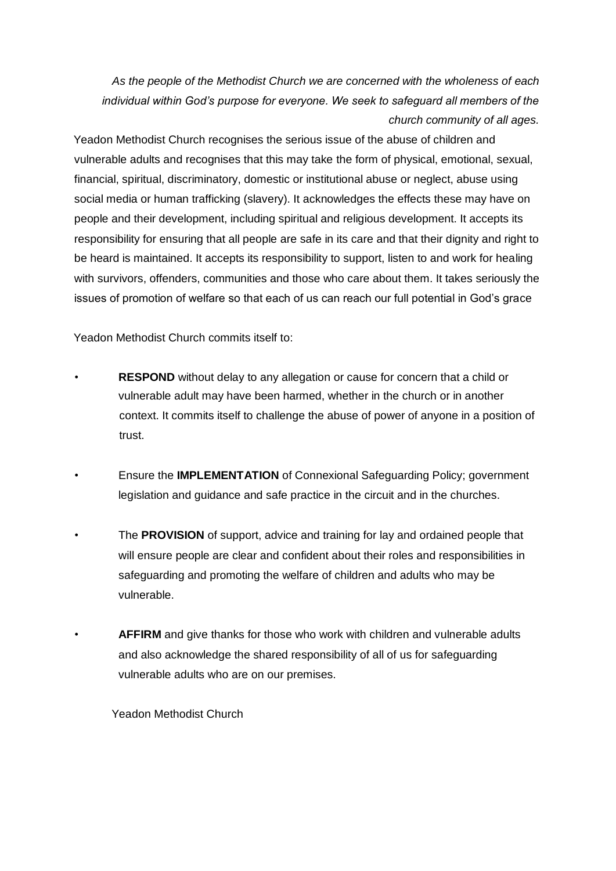*As the people of the Methodist Church we are concerned with the wholeness of each individual within God's purpose for everyone. We seek to safeguard all members of the church community of all ages.* 

Yeadon Methodist Church recognises the serious issue of the abuse of children and vulnerable adults and recognises that this may take the form of physical, emotional, sexual, financial, spiritual, discriminatory, domestic or institutional abuse or neglect, abuse using social media or human trafficking (slavery). It acknowledges the effects these may have on people and their development, including spiritual and religious development. It accepts its responsibility for ensuring that all people are safe in its care and that their dignity and right to be heard is maintained. It accepts its responsibility to support, listen to and work for healing with survivors, offenders, communities and those who care about them. It takes seriously the issues of promotion of welfare so that each of us can reach our full potential in God's grace

Yeadon Methodist Church commits itself to:

- **RESPOND** without delay to any allegation or cause for concern that a child or vulnerable adult may have been harmed, whether in the church or in another context. It commits itself to challenge the abuse of power of anyone in a position of trust.
- Ensure the **IMPLEMENTATION** of Connexional Safeguarding Policy; government legislation and guidance and safe practice in the circuit and in the churches.
- The **PROVISION** of support, advice and training for lay and ordained people that will ensure people are clear and confident about their roles and responsibilities in safeguarding and promoting the welfare of children and adults who may be vulnerable.
- **AFFIRM** and give thanks for those who work with children and vulnerable adults and also acknowledge the shared responsibility of all of us for safeguarding vulnerable adults who are on our premises.

Yeadon Methodist Church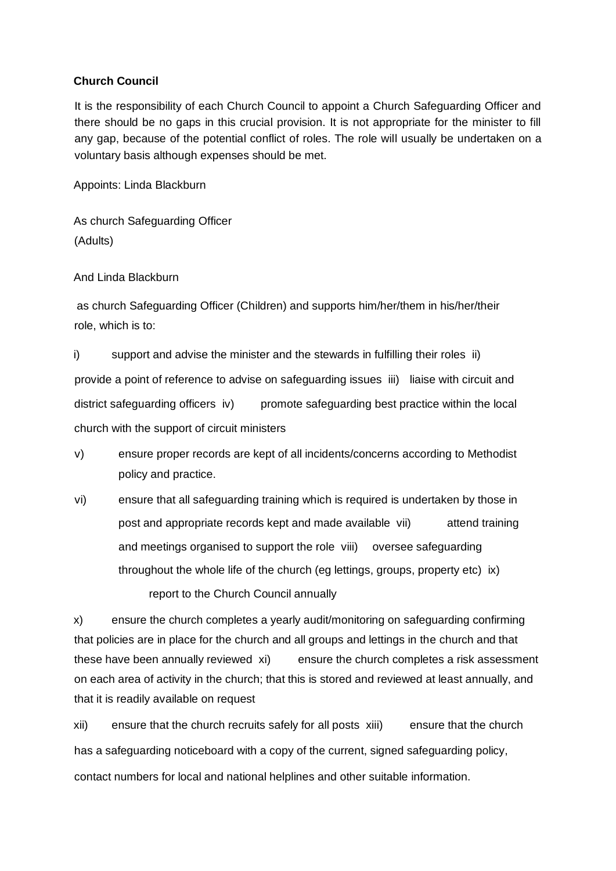#### **Church Council**

It is the responsibility of each Church Council to appoint a Church Safeguarding Officer and there should be no gaps in this crucial provision. It is not appropriate for the minister to fill any gap, because of the potential conflict of roles. The role will usually be undertaken on a voluntary basis although expenses should be met.

Appoints: Linda Blackburn

As church Safeguarding Officer (Adults)

And Linda Blackburn

as church Safeguarding Officer (Children) and supports him/her/them in his/her/their role, which is to:

i) support and advise the minister and the stewards in fulfilling their roles ii) provide a point of reference to advise on safeguarding issues iii) liaise with circuit and district safeguarding officers iv) promote safeguarding best practice within the local church with the support of circuit ministers

- v) ensure proper records are kept of all incidents/concerns according to Methodist policy and practice.
- vi) ensure that all safeguarding training which is required is undertaken by those in post and appropriate records kept and made available vii) attend training and meetings organised to support the role viii) oversee safeguarding throughout the whole life of the church (eg lettings, groups, property etc) ix)

report to the Church Council annually

x) ensure the church completes a yearly audit/monitoring on safeguarding confirming that policies are in place for the church and all groups and lettings in the church and that these have been annually reviewed xi) ensure the church completes a risk assessment on each area of activity in the church; that this is stored and reviewed at least annually, and that it is readily available on request

xii) ensure that the church recruits safely for all posts xiii) ensure that the church has a safeguarding noticeboard with a copy of the current, signed safeguarding policy, contact numbers for local and national helplines and other suitable information.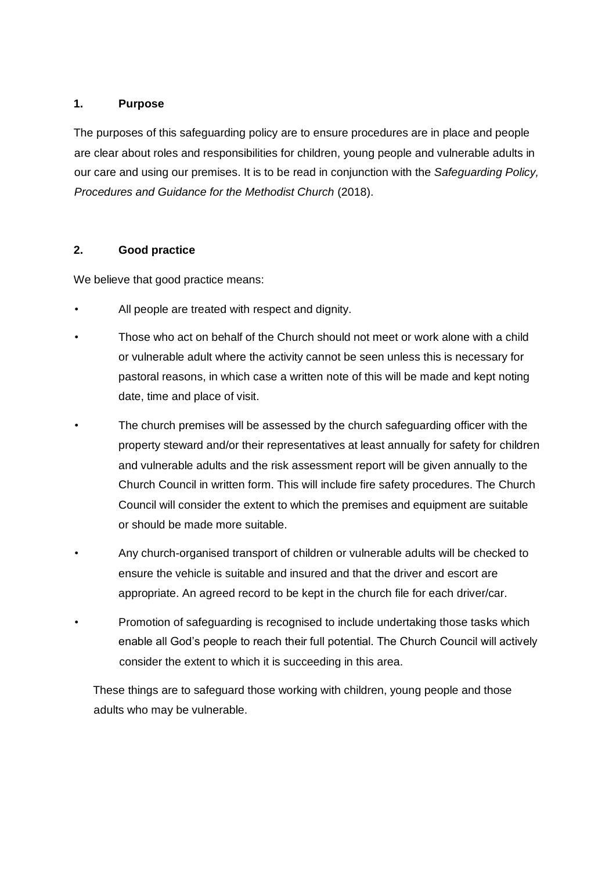#### **1. Purpose**

The purposes of this safeguarding policy are to ensure procedures are in place and people are clear about roles and responsibilities for children, young people and vulnerable adults in our care and using our premises. It is to be read in conjunction with the *Safeguarding Policy, Procedures and Guidance for the Methodist Church* (2018).

#### **2. Good practice**

We believe that good practice means:

- All people are treated with respect and dignity.
- Those who act on behalf of the Church should not meet or work alone with a child or vulnerable adult where the activity cannot be seen unless this is necessary for pastoral reasons, in which case a written note of this will be made and kept noting date, time and place of visit.
- The church premises will be assessed by the church safeguarding officer with the property steward and/or their representatives at least annually for safety for children and vulnerable adults and the risk assessment report will be given annually to the Church Council in written form. This will include fire safety procedures. The Church Council will consider the extent to which the premises and equipment are suitable or should be made more suitable.
- Any church-organised transport of children or vulnerable adults will be checked to ensure the vehicle is suitable and insured and that the driver and escort are appropriate. An agreed record to be kept in the church file for each driver/car.
- Promotion of safeguarding is recognised to include undertaking those tasks which enable all God's people to reach their full potential. The Church Council will actively consider the extent to which it is succeeding in this area.

These things are to safeguard those working with children, young people and those adults who may be vulnerable.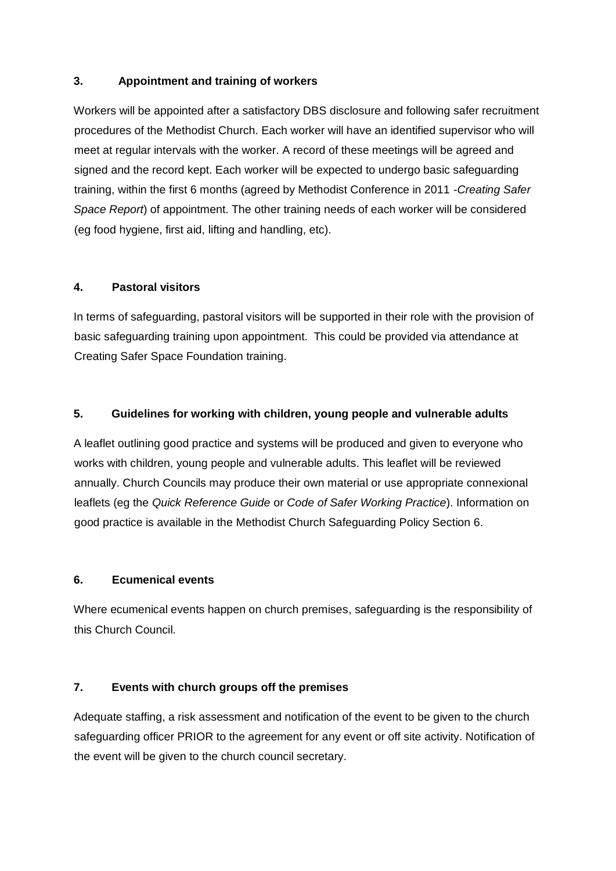#### **3. Appointment and training of workers**

Workers will be appointed after a satisfactory DBS disclosure and following safer recruitment procedures of the Methodist Church. Each worker will have an identified supervisor who will meet at regular intervals with the worker. A record of these meetings will be agreed and signed and the record kept. Each worker will be expected to undergo basic safeguarding training, within the first 6 months (agreed by Methodist Conference in 2011 -*Creating Safer Space Report*) of appointment. The other training needs of each worker will be considered (eg food hygiene, first aid, lifting and handling, etc).

#### **4. Pastoral visitors**

In terms of safeguarding, pastoral visitors will be supported in their role with the provision of basic safeguarding training upon appointment. This could be provided via attendance at Creating Safer Space Foundation training.

#### **5. Guidelines for working with children, young people and vulnerable adults**

A leaflet outlining good practice and systems will be produced and given to everyone who works with children, young people and vulnerable adults. This leaflet will be reviewed annually. Church Councils may produce their own material or use appropriate connexional leaflets (eg the *Quick Reference Guide* or *Code of Safer Working Practice*). Information on good practice is available in the Methodist Church Safeguarding Policy Section 6.

#### **6. Ecumenical events**

Where ecumenical events happen on church premises, safeguarding is the responsibility of this Church Council.

#### **7. Events with church groups off the premises**

Adequate staffing, a risk assessment and notification of the event to be given to the church safeguarding officer PRIOR to the agreement for any event or off site activity. Notification of the event will be given to the church council secretary.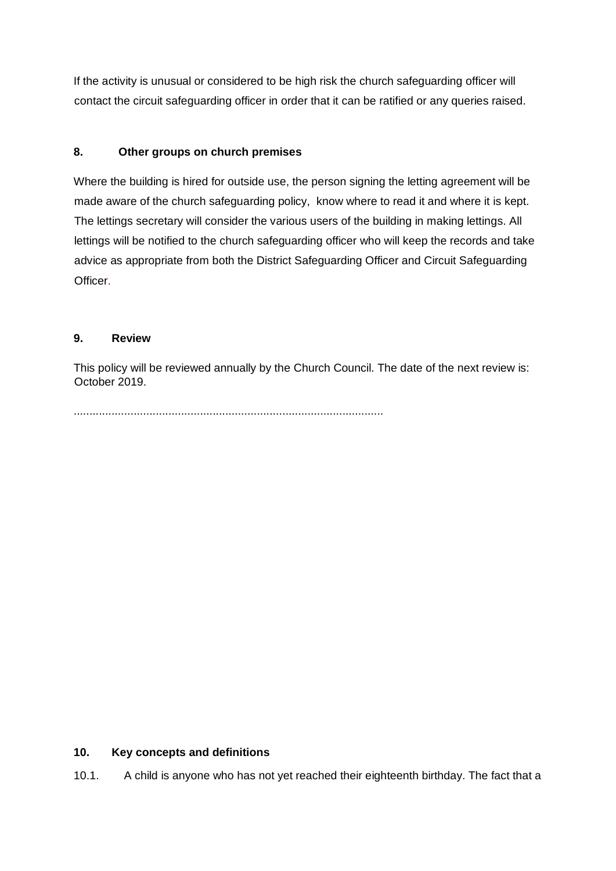If the activity is unusual or considered to be high risk the church safeguarding officer will contact the circuit safeguarding officer in order that it can be ratified or any queries raised.

#### **8. Other groups on church premises**

Where the building is hired for outside use, the person signing the letting agreement will be made aware of the church safeguarding policy, know where to read it and where it is kept. The lettings secretary will consider the various users of the building in making lettings. All lettings will be notified to the church safeguarding officer who will keep the records and take advice as appropriate from both the District Safeguarding Officer and Circuit Safeguarding Officer.

#### **9. Review**

This policy will be reviewed annually by the Church Council. The date of the next review is: October 2019.

..................................................................................................

#### **10. Key concepts and definitions**

10.1. A child is anyone who has not yet reached their eighteenth birthday. The fact that a